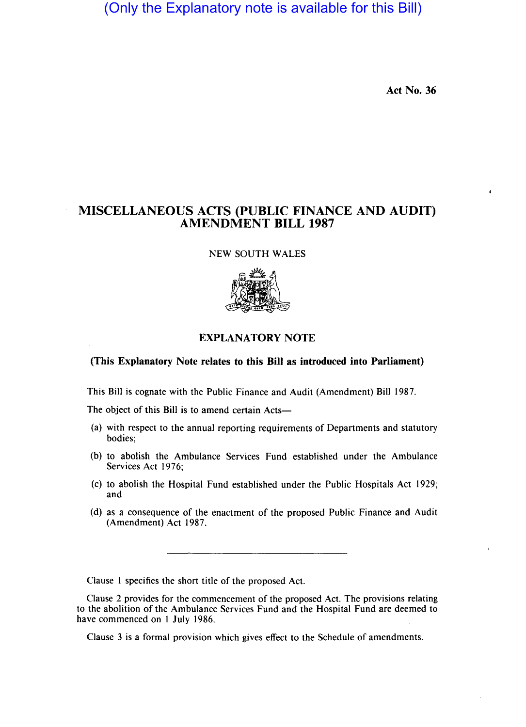(Only the Explanatory note is available for this Bill)

Act No. 36

## MISCELLANEOUS ACTS (PUBLIC FINANCE AND AUDIT) AMENDMENT BILL 1987

NEW SOUTH WALES



## EXPLANATORY NOTE

## (This Explanatory Note relates to this Bill as introduced into Parliament)

This Bill is cognate with the Public Finance and Audit (Amendment) Bill 1987.

The object of this Bill is to amend certain Acts-

- (a) with respect to the annual reporting requirements of Departments and statutory bodies;
- (b) to abolish the Ambulance Services Fund established under the Ambulance Services Act 1976;
- (c) to abolish the Hospital Fund established under the Public Hospitals Act 1929; and
- (d) as a consequence of the enactment of the proposed Public Finance and Audit (Amendment) Act 1987.

Clause 1 specifies the short title of the proposed Act.

Clause 2 provides for the commencement of the proposed Act. The provisions relating to the abolition of the Ambulance Services Fund and the Hospital Fund are deemed to have commenced on I July 1986.

Clause 3 is a formal provision which gives effect to the Schedule of amendments.